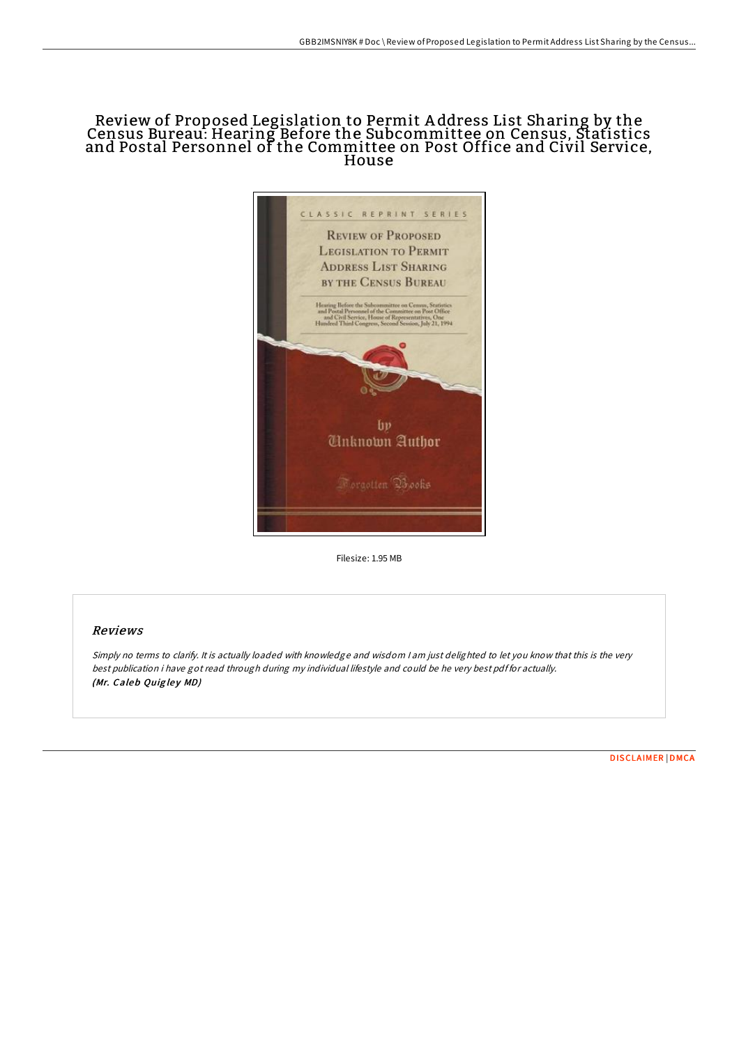# Review of Proposed Legislation to Permit A ddress List Sharing by the Census Bureau: Hearing Before the Subcommittee on Census, Statistics and Postal Personnel of the Committee on Post Office and Civil Service, House



Filesize: 1.95 MB

## Reviews

Simply no terms to clarify. It is actually loaded with knowledge and wisdom <sup>I</sup> am just delighted to let you know that this is the very best publication i have got read through during my individual lifestyle and could be he very best pdf for actually. (Mr. Caleb Quigley MD)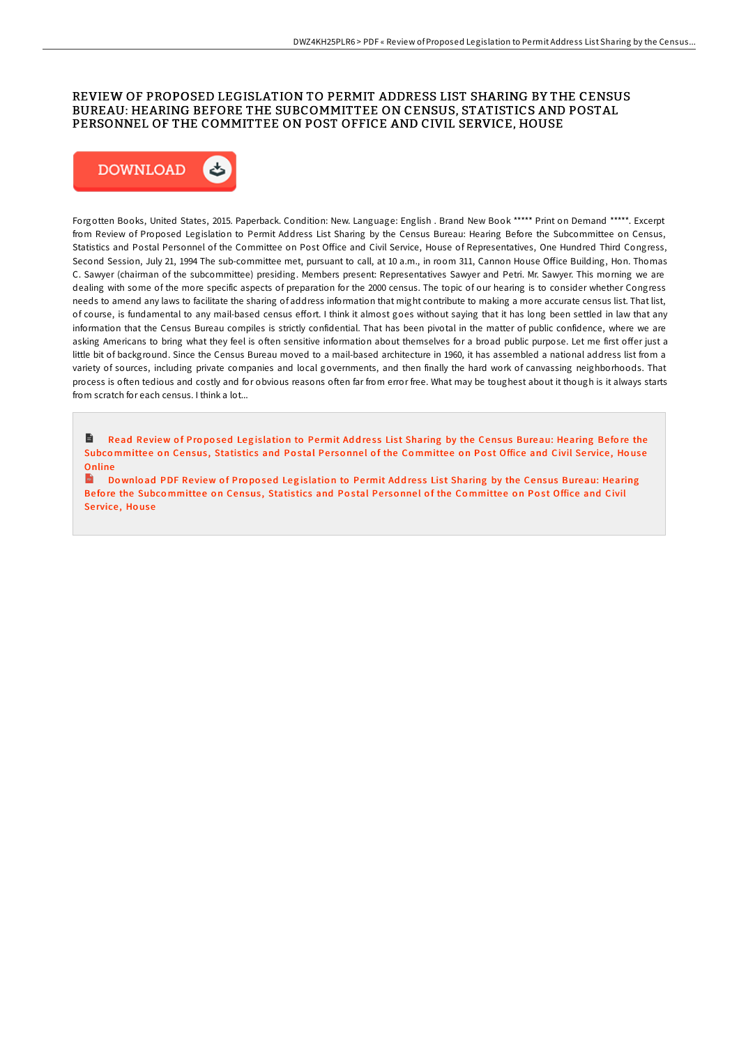### REVIEW OF PROPOSED LEGISLATION TO PERMIT ADDRESS LIST SHARING BY THE CENSUS BUREAU: HEARING BEFORE THE SUBCOMMITTEE ON CENSUS, STATISTICS AND POSTAL PERSONNEL OF THE COMMITTEE ON POST OFFICE AND CIVIL SERVICE, HOUSE



Forgotten Books, United States, 2015. Paperback. Condition: New. Language: English . Brand New Book \*\*\*\*\* Print on Demand \*\*\*\*\*. Excerpt from Review of Proposed Legislation to Permit Address List Sharing by the Census Bureau: Hearing Before the Subcommittee on Census, Statistics and Postal Personnel of the Committee on Post Office and Civil Service, House of Representatives, One Hundred Third Congress, Second Session, July 21, 1994 The sub-committee met, pursuant to call, at 10 a.m., in room 311, Cannon House Office Building, Hon. Thomas C. Sawyer (chairman of the subcommittee) presiding. Members present: Representatives Sawyer and Petri. Mr. Sawyer. This morning we are dealing with some of the more specific aspects of preparation for the 2000 census. The topic of our hearing is to consider whether Congress needs to amend any laws to facilitate the sharing of address information that might contribute to making a more accurate census list. That list, of course, is fundamental to any mail-based census effort. I think it almost goes without saying that it has long been settled in law that any information that the Census Bureau compiles is strictly confidential. That has been pivotal in the matter of public confidence, where we are asking Americans to bring what they feel is often sensitive information about themselves for a broad public purpose. Let me first offer just a little bit of background. Since the Census Bureau moved to a mail-based architecture in 1960, it has assembled a national address list from a variety of sources, including private companies and local governments, and then finally the hard work of canvassing neighborhoods. That process is often tedious and costly and for obvious reasons often far from error free. What may be toughest about it though is it always starts from scratch for each census. I think a lot...

Read Review of Proposed Legislation to Permit Address List Sharing by the Census [Bureau:](http://almighty24.tech/review-of-proposed-legislation-to-permit-address.html) Hearing Before the Subcommittee on Census, Statistics and Postal Personnel of the Committee on Post Office and Civil Service, House **Online** 

 $\overrightarrow{16}$ Download PDF Review of Proposed Legislation to Permit Address List Sharing by the Census [Bureau:](http://almighty24.tech/review-of-proposed-legislation-to-permit-address.html) Hearing Before the Subcommittee on Census, Statistics and Postal Personnel of the Committee on Post Office and Civil Service, House